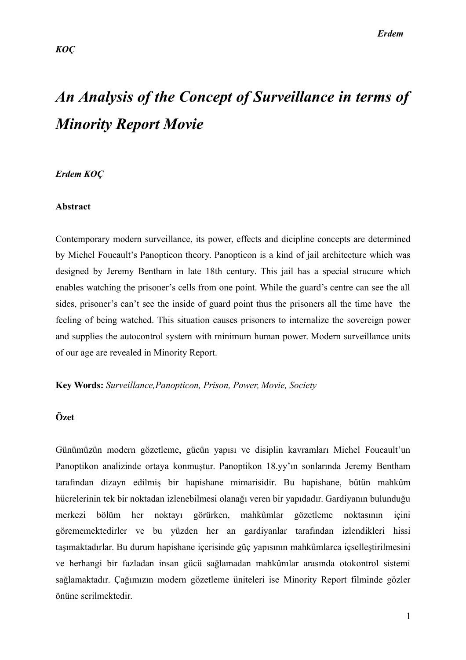# *An Analysis of the Concept of Surveillance in terms of Minority Report Movie*

#### *Erdem KOÇ*

#### **Abstract**

Contemporary modern surveillance, its power, effects and dicipline concepts are determined by Michel Foucault's Panopticon theory. Panopticon is a kind of jail architecture which was designed by Jeremy Bentham in late 18th century. This jail has a special strucure which enables watching the prisoner's cells from one point. While the guard's centre can see the all sides, prisoner's can't see the inside of guard point thus the prisoners all the time have the feeling of being watched. This situation causes prisoners to internalize the sovereign power and supplies the autocontrol system with minimum human power. Modern surveillance units of our age are revealed in Minority Report.

**Key Words:** *Surveillance,Panopticon, Prison, Power, Movie, Society*

## **Özet**

Günümüzün modern gözetleme, gücün yapısı ve disiplin kavramları Michel Foucault'un Panoptikon analizinde ortaya konmuştur. Panoptikon 18.yy'ın sonlarında Jeremy Bentham tarafından dizayn edilmiş bir hapishane mimarisidir. Bu hapishane, bütün mahkûm hücrelerinin tek bir noktadan izlenebilmesi olanağı veren bir yapıdadır. Gardiyanın bulunduğu merkezi bölüm her noktayı görürken, mahkûmlar gözetleme noktasının içini görememektedirler ve bu yüzden her an gardiyanlar tarafından izlendikleri hissi taşımaktadırlar. Bu durum hapishane içerisinde güç yapısının mahkûmlarca içselleştirilmesini ve herhangi bir fazladan insan gücü sağlamadan mahkûmlar arasında otokontrol sistemi sağlamaktadır. Çağımızın modern gözetleme üniteleri ise Minority Report filminde gözler önüne serilmektedir.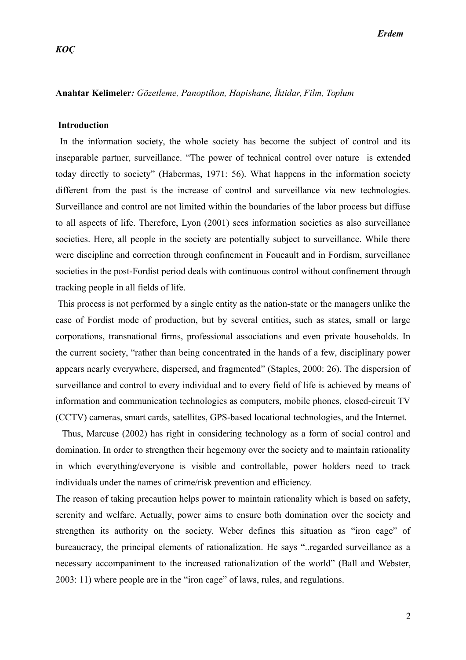#### **Anahtar Kelimeler***: Gözetleme, Panoptikon, Hapishane, İktidar, Film, Toplum*

#### **Introduction**

 In the information society, the whole society has become the subject of control and its inseparable partner, surveillance. "The power of technical control over nature is extended today directly to society" (Habermas, 1971: 56). What happens in the information society different from the past is the increase of control and surveillance via new technologies. Surveillance and control are not limited within the boundaries of the labor process but diffuse to all aspects of life. Therefore, Lyon (2001) sees information societies as also surveillance societies. Here, all people in the society are potentially subject to surveillance. While there were discipline and correction through confinement in Foucault and in Fordism, surveillance societies in the post-Fordist period deals with continuous control without confinement through tracking people in all fields of life.

 This process is not performed by a single entity as the nation-state or the managers unlike the case of Fordist mode of production, but by several entities, such as states, small or large corporations, transnational firms, professional associations and even private households. In the current society, "rather than being concentrated in the hands of a few, disciplinary power appears nearly everywhere, dispersed, and fragmented" (Staples, 2000: 26). The dispersion of surveillance and control to every individual and to every field of life is achieved by means of information and communication technologies as computers, mobile phones, closed-circuit TV (CCTV) cameras, smart cards, satellites, GPS-based locational technologies, and the Internet.

 Thus, Marcuse (2002) has right in considering technology as a form of social control and domination. In order to strengthen their hegemony over the society and to maintain rationality in which everything/everyone is visible and controllable, power holders need to track individuals under the names of crime/risk prevention and efficiency.

The reason of taking precaution helps power to maintain rationality which is based on safety, serenity and welfare. Actually, power aims to ensure both domination over the society and strengthen its authority on the society. Weber defines this situation as "iron cage" of bureaucracy, the principal elements of rationalization. He says "..regarded surveillance as a necessary accompaniment to the increased rationalization of the world" (Ball and Webster, 2003: 11) where people are in the "iron cage" of laws, rules, and regulations.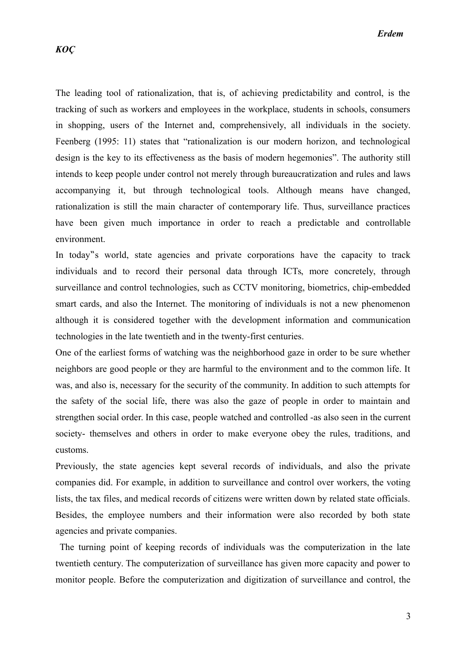The leading tool of rationalization, that is, of achieving predictability and control, is the tracking of such as workers and employees in the workplace, students in schools, consumers in shopping, users of the Internet and, comprehensively, all individuals in the society. Feenberg (1995: 11) states that "rationalization is our modern horizon, and technological design is the key to its effectiveness as the basis of modern hegemonies". The authority still intends to keep people under control not merely through bureaucratization and rules and laws accompanying it, but through technological tools. Although means have changed, rationalization is still the main character of contemporary life. Thus, surveillance practices have been given much importance in order to reach a predictable and controllable environment.

In today"s world, state agencies and private corporations have the capacity to track individuals and to record their personal data through ICTs, more concretely, through surveillance and control technologies, such as CCTV monitoring, biometrics, chip-embedded smart cards, and also the Internet. The monitoring of individuals is not a new phenomenon although it is considered together with the development information and communication technologies in the late twentieth and in the twenty-first centuries.

One of the earliest forms of watching was the neighborhood gaze in order to be sure whether neighbors are good people or they are harmful to the environment and to the common life. It was, and also is, necessary for the security of the community. In addition to such attempts for the safety of the social life, there was also the gaze of people in order to maintain and strengthen social order. In this case, people watched and controlled -as also seen in the current society- themselves and others in order to make everyone obey the rules, traditions, and customs.

Previously, the state agencies kept several records of individuals, and also the private companies did. For example, in addition to surveillance and control over workers, the voting lists, the tax files, and medical records of citizens were written down by related state officials. Besides, the employee numbers and their information were also recorded by both state agencies and private companies.

 The turning point of keeping records of individuals was the computerization in the late twentieth century. The computerization of surveillance has given more capacity and power to monitor people. Before the computerization and digitization of surveillance and control, the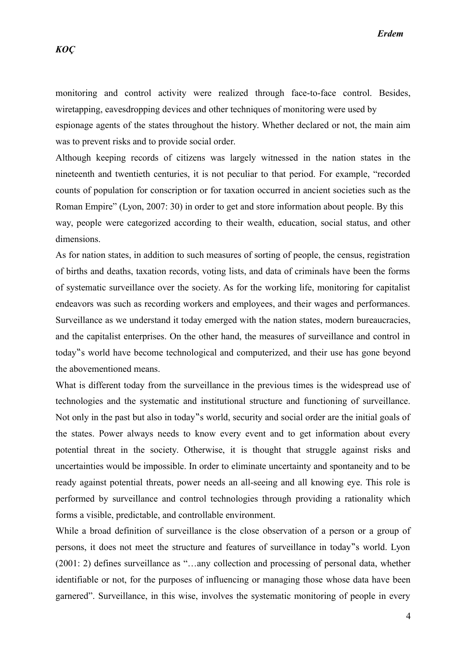monitoring and control activity were realized through face-to-face control. Besides, wiretapping, eavesdropping devices and other techniques of monitoring were used by espionage agents of the states throughout the history. Whether declared or not, the main aim was to prevent risks and to provide social order.

Although keeping records of citizens was largely witnessed in the nation states in the nineteenth and twentieth centuries, it is not peculiar to that period. For example, "recorded counts of population for conscription or for taxation occurred in ancient societies such as the Roman Empire" (Lyon, 2007: 30) in order to get and store information about people. By this way, people were categorized according to their wealth, education, social status, and other dimensions.

As for nation states, in addition to such measures of sorting of people, the census, registration of births and deaths, taxation records, voting lists, and data of criminals have been the forms of systematic surveillance over the society. As for the working life, monitoring for capitalist endeavors was such as recording workers and employees, and their wages and performances. Surveillance as we understand it today emerged with the nation states, modern bureaucracies, and the capitalist enterprises. On the other hand, the measures of surveillance and control in today" s world have become technological and computerized, and their use has gone beyond the abovementioned means.

What is different today from the surveillance in the previous times is the widespread use of technologies and the systematic and institutional structure and functioning of surveillance. Not only in the past but also in today"s world, security and social order are the initial goals of the states. Power always needs to know every event and to get information about every potential threat in the society. Otherwise, it is thought that struggle against risks and uncertainties would be impossible. In order to eliminate uncertainty and spontaneity and to be ready against potential threats, power needs an all-seeing and all knowing eye. This role is performed by surveillance and control technologies through providing a rationality which forms a visible, predictable, and controllable environment.

While a broad definition of surveillance is the close observation of a person or a group of persons, it does not meet the structure and features of surveillance in today"s world. Lyon (2001: 2) defines surveillance as "…any collection and processing of personal data, whether identifiable or not, for the purposes of influencing or managing those whose data have been garnered". Surveillance, in this wise, involves the systematic monitoring of people in every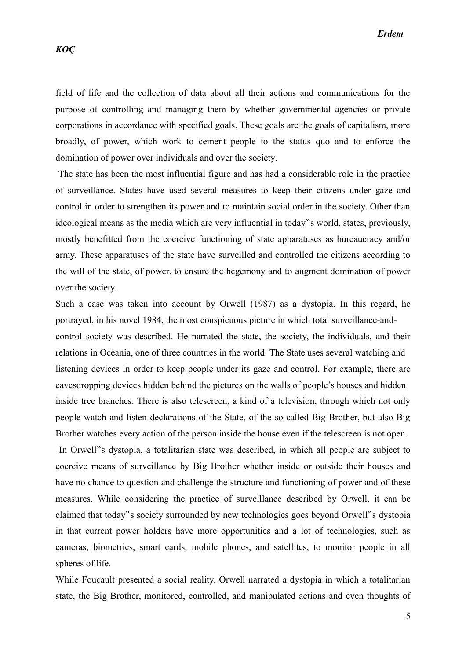field of life and the collection of data about all their actions and communications for the purpose of controlling and managing them by whether governmental agencies or private corporations in accordance with specified goals. These goals are the goals of capitalism, more broadly, of power, which work to cement people to the status quo and to enforce the domination of power over individuals and over the society.

 The state has been the most influential figure and has had a considerable role in the practice of surveillance. States have used several measures to keep their citizens under gaze and control in order to strengthen its power and to maintain social order in the society. Other than ideological means as the media which are very influential in today"s world, states, previously, mostly benefitted from the coercive functioning of state apparatuses as bureaucracy and/or army. These apparatuses of the state have surveilled and controlled the citizens according to the will of the state, of power, to ensure the hegemony and to augment domination of power over the society.

Such a case was taken into account by Orwell (1987) as a dystopia. In this regard, he portrayed, in his novel 1984, the most conspicuous picture in which total surveillance-andcontrol society was described. He narrated the state, the society, the individuals, and their relations in Oceania, one of three countries in the world. The State uses several watching and listening devices in order to keep people under its gaze and control. For example, there are eavesdropping devices hidden behind the pictures on the walls of people's houses and hidden inside tree branches. There is also telescreen, a kind of a television, through which not only people watch and listen declarations of the State, of the so-called Big Brother, but also Big Brother watches every action of the person inside the house even if the telescreen is not open.

In Orwell s dystopia, a totalitarian state was described, in which all people are subject to coercive means of surveillance by Big Brother whether inside or outside their houses and have no chance to question and challenge the structure and functioning of power and of these measures. While considering the practice of surveillance described by Orwell, it can be claimed that today" is society surrounded by new technologies goes beyond Orwell" is dystopia in that current power holders have more opportunities and a lot of technologies, such as cameras, biometrics, smart cards, mobile phones, and satellites, to monitor people in all spheres of life.

While Foucault presented a social reality, Orwell narrated a dystopia in which a totalitarian state, the Big Brother, monitored, controlled, and manipulated actions and even thoughts of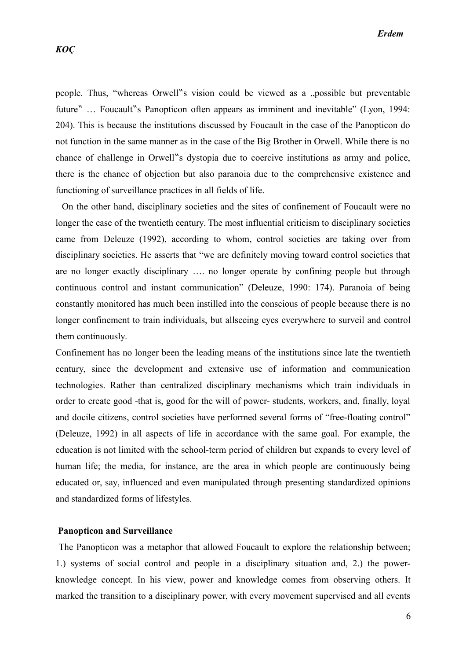people. Thus, "whereas Orwell" is vision could be viewed as a "possible but preventable future" ... Foucault "s Panopticon often appears as imminent and inevitable" (Lyon, 1994: 204). This is because the institutions discussed by Foucault in the case of the Panopticon do not function in the same manner as in the case of the Big Brother in Orwell. While there is no chance of challenge in Orwell"s dystopia due to coercive institutions as army and police, there is the chance of objection but also paranoia due to the comprehensive existence and functioning of surveillance practices in all fields of life.

 On the other hand, disciplinary societies and the sites of confinement of Foucault were no longer the case of the twentieth century. The most influential criticism to disciplinary societies came from Deleuze (1992), according to whom, control societies are taking over from disciplinary societies. He asserts that "we are definitely moving toward control societies that are no longer exactly disciplinary …. no longer operate by confining people but through continuous control and instant communication" (Deleuze, 1990: 174). Paranoia of being constantly monitored has much been instilled into the conscious of people because there is no longer confinement to train individuals, but allseeing eyes everywhere to surveil and control them continuously.

Confinement has no longer been the leading means of the institutions since late the twentieth century, since the development and extensive use of information and communication technologies. Rather than centralized disciplinary mechanisms which train individuals in order to create good -that is, good for the will of power- students, workers, and, finally, loyal and docile citizens, control societies have performed several forms of "free-floating control" (Deleuze, 1992) in all aspects of life in accordance with the same goal. For example, the education is not limited with the school-term period of children but expands to every level of human life; the media, for instance, are the area in which people are continuously being educated or, say, influenced and even manipulated through presenting standardized opinions and standardized forms of lifestyles.

#### **Panopticon and Surveillance**

 The Panopticon was a metaphor that allowed Foucault to explore the relationship between; 1.) systems of social control and people in a disciplinary situation and, 2.) the powerknowledge concept. In his view, power and knowledge comes from observing others. It marked the transition to a disciplinary power, with every movement supervised and all events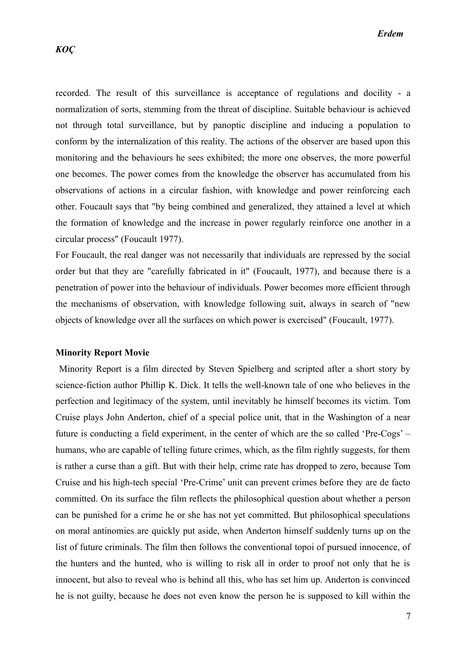recorded. The result of this surveillance is acceptance of regulations and docility - a normalization of sorts, stemming from the threat of discipline. Suitable behaviour is achieved not through total surveillance, but by panoptic discipline and inducing a population to conform by the internalization of this reality. The actions of the observer are based upon this monitoring and the behaviours he sees exhibited; the more one observes, the more powerful one becomes. The power comes from the knowledge the observer has accumulated from his observations of actions in a circular fashion, with knowledge and power reinforcing each other. Foucault says that "by being combined and generalized, they attained a level at which the formation of knowledge and the increase in power regularly reinforce one another in a circular process" (Foucault 1977).

For Foucault, the real danger was not necessarily that individuals are repressed by the social order but that they are "carefully fabricated in it" (Foucault, 1977), and because there is a penetration of power into the behaviour of individuals. Power becomes more efficient through the mechanisms of observation, with knowledge following suit, always in search of "new objects of knowledge over all the surfaces on which power is exercised" (Foucault, 1977).

#### **Minority Report Movie**

 Minority Report is a film directed by Steven Spielberg and scripted after a short story by science-fiction author Phillip K. Dick. It tells the well-known tale of one who believes in the perfection and legitimacy of the system, until inevitably he himself becomes its victim. Tom Cruise plays John Anderton, chief of a special police unit, that in the Washington of a near future is conducting a field experiment, in the center of which are the so called 'Pre-Cogs' – humans, who are capable of telling future crimes, which, as the film rightly suggests, for them is rather a curse than a gift. But with their help, crime rate has dropped to zero, because Tom Cruise and his high-tech special 'Pre-Crime' unit can prevent crimes before they are de facto committed. On its surface the film reflects the philosophical question about whether a person can be punished for a crime he or she has not yet committed. But philosophical speculations on moral antinomies are quickly put aside, when Anderton himself suddenly turns up on the list of future criminals. The film then follows the conventional topoi of pursued innocence, of the hunters and the hunted, who is willing to risk all in order to proof not only that he is innocent, but also to reveal who is behind all this, who has set him up. Anderton is convinced he is not guilty, because he does not even know the person he is supposed to kill within the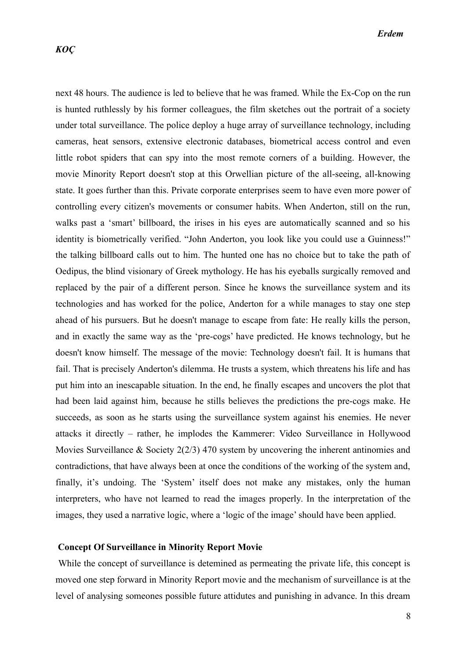next 48 hours. The audience is led to believe that he was framed. While the Ex-Cop on the run is hunted ruthlessly by his former colleagues, the film sketches out the portrait of a society under total surveillance. The police deploy a huge array of surveillance technology, including cameras, heat sensors, extensive electronic databases, biometrical access control and even little robot spiders that can spy into the most remote corners of a building. However, the movie Minority Report doesn't stop at this Orwellian picture of the all-seeing, all-knowing state. It goes further than this. Private corporate enterprises seem to have even more power of controlling every citizen's movements or consumer habits. When Anderton, still on the run, walks past a 'smart' billboard, the irises in his eyes are automatically scanned and so his identity is biometrically verified. "John Anderton, you look like you could use a Guinness!" the talking billboard calls out to him. The hunted one has no choice but to take the path of Oedipus, the blind visionary of Greek mythology. He has his eyeballs surgically removed and replaced by the pair of a different person. Since he knows the surveillance system and its technologies and has worked for the police, Anderton for a while manages to stay one step ahead of his pursuers. But he doesn't manage to escape from fate: He really kills the person, and in exactly the same way as the 'pre-cogs' have predicted. He knows technology, but he doesn't know himself. The message of the movie: Technology doesn't fail. It is humans that fail. That is precisely Anderton's dilemma. He trusts a system, which threatens his life and has put him into an inescapable situation. In the end, he finally escapes and uncovers the plot that had been laid against him, because he stills believes the predictions the pre-cogs make. He succeeds, as soon as he starts using the surveillance system against his enemies. He never attacks it directly – rather, he implodes the Kammerer: Video Surveillance in Hollywood Movies Surveillance & Society 2(2/3) 470 system by uncovering the inherent antinomies and contradictions, that have always been at once the conditions of the working of the system and, finally, it's undoing. The 'System' itself does not make any mistakes, only the human interpreters, who have not learned to read the images properly. In the interpretation of the images, they used a narrative logic, where a 'logic of the image' should have been applied.

#### **Concept Of Surveillance in Minority Report Movie**

 While the concept of surveillance is detemined as permeating the private life, this concept is moved one step forward in Minority Report movie and the mechanism of surveillance is at the level of analysing someones possible future attidutes and punishing in advance. In this dream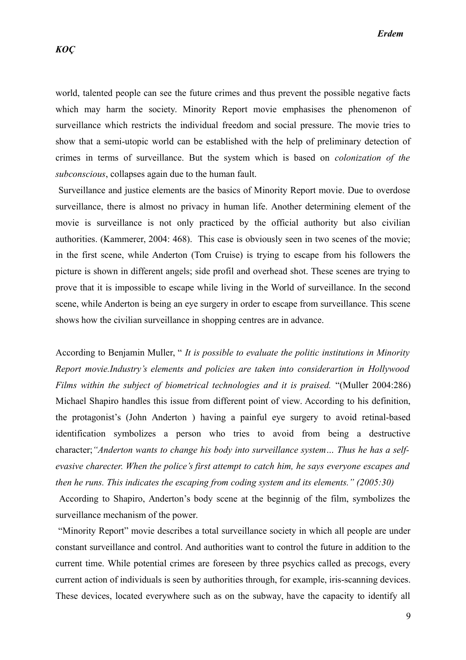world, talented people can see the future crimes and thus prevent the possible negative facts which may harm the society. Minority Report movie emphasises the phenomenon of surveillance which restricts the individual freedom and social pressure. The movie tries to show that a semi-utopic world can be established with the help of preliminary detection of crimes in terms of surveillance. But the system which is based on *colonization of the subconscious*, collapses again due to the human fault.

 Surveillance and justice elements are the basics of Minority Report movie. Due to overdose surveillance, there is almost no privacy in human life. Another determining element of the movie is surveillance is not only practiced by the official authority but also civilian authorities. (Kammerer, 2004: 468). This case is obviously seen in two scenes of the movie; in the first scene, while Anderton (Tom Cruise) is trying to escape from his followers the picture is shown in different angels; side profil and overhead shot. These scenes are trying to prove that it is impossible to escape while living in the World of surveillance. In the second scene, while Anderton is being an eye surgery in order to escape from surveillance. This scene shows how the civilian surveillance in shopping centres are in advance.

According to Benjamin Muller, " *It is possible to evaluate the politic institutions in Minority Report movie.Industry's elements and policies are taken into considerartion in Hollywood Films within the subject of biometrical technologies and it is praised.* "(Muller 2004:286) Michael Shapiro handles this issue from different point of view. According to his definition, the protagonist's (John Anderton ) having a painful eye surgery to avoid retinal-based identification symbolizes a person who tries to avoid from being a destructive character;*"Anderton wants to change his body into surveillance system… Thus he has a selfevasive charecter. When the police's first attempt to catch him, he says everyone escapes and then he runs. This indicates the escaping from coding system and its elements." (2005:30)* 

 According to Shapiro, Anderton's body scene at the beginnig of the film, symbolizes the surveillance mechanism of the power.

 "Minority Report" movie describes a total surveillance society in which all people are under constant surveillance and control. And authorities want to control the future in addition to the current time. While potential crimes are foreseen by three psychics called as precogs, every current action of individuals is seen by authorities through, for example, iris-scanning devices. These devices, located everywhere such as on the subway, have the capacity to identify all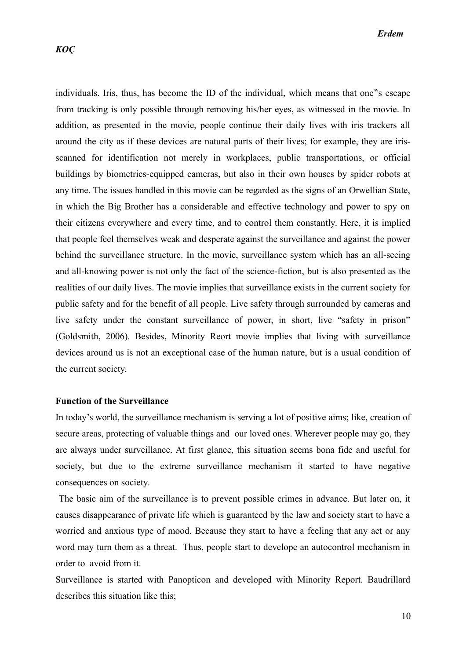individuals. Iris, thus, has become the ID of the individual, which means that one s escape from tracking is only possible through removing his/her eyes, as witnessed in the movie. In addition, as presented in the movie, people continue their daily lives with iris trackers all around the city as if these devices are natural parts of their lives; for example, they are irisscanned for identification not merely in workplaces, public transportations, or official buildings by biometrics-equipped cameras, but also in their own houses by spider robots at any time. The issues handled in this movie can be regarded as the signs of an Orwellian State, in which the Big Brother has a considerable and effective technology and power to spy on their citizens everywhere and every time, and to control them constantly. Here, it is implied that people feel themselves weak and desperate against the surveillance and against the power behind the surveillance structure. In the movie, surveillance system which has an all-seeing and all-knowing power is not only the fact of the science-fiction, but is also presented as the realities of our daily lives. The movie implies that surveillance exists in the current society for public safety and for the benefit of all people. Live safety through surrounded by cameras and live safety under the constant surveillance of power, in short, live "safety in prison" (Goldsmith, 2006). Besides, Minority Reort movie implies that living with surveillance devices around us is not an exceptional case of the human nature, but is a usual condition of the current society.

## **Function of the Surveillance**

In today's world, the surveillance mechanism is serving a lot of positive aims; like, creation of secure areas, protecting of valuable things and our loved ones. Wherever people may go, they are always under surveillance. At first glance, this situation seems bona fide and useful for society, but due to the extreme surveillance mechanism it started to have negative consequences on society.

 The basic aim of the surveillance is to prevent possible crimes in advance. But later on, it causes disappearance of private life which is guaranteed by the law and society start to have a worried and anxious type of mood. Because they start to have a feeling that any act or any word may turn them as a threat. Thus, people start to develope an autocontrol mechanism in order to avoid from it.

Surveillance is started with Panopticon and developed with Minority Report. Baudrillard describes this situation like this;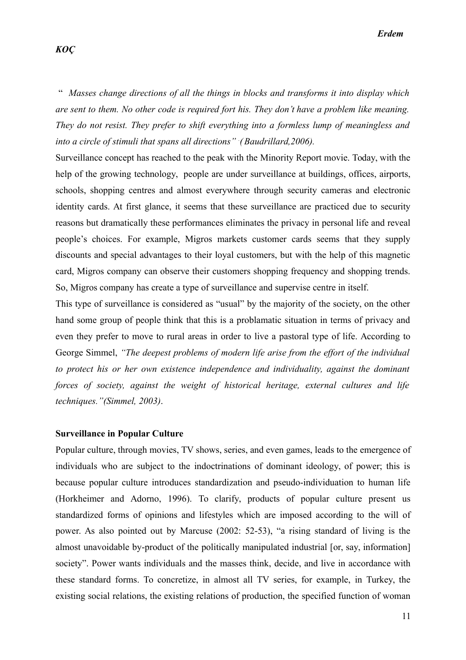*Erdem*

## *KOÇ*

 " *Masses change directions of all the things in blocks and transforms it into display which are sent to them. No other code is required fort his. They don't have a problem like meaning. They do not resist. They prefer to shift everything into a formless lump of meaningless and into a circle of stimuli that spans all directions" . (Baudrillard,2006).*

Surveillance concept has reached to the peak with the Minority Report movie. Today, with the help of the growing technology, people are under surveillance at buildings, offices, airports, schools, shopping centres and almost everywhere through security cameras and electronic identity cards. At first glance, it seems that these surveillance are practiced due to security reasons but dramatically these performances eliminates the privacy in personal life and reveal people's choices. For example, Migros markets customer cards seems that they supply discounts and special advantages to their loyal customers, but with the help of this magnetic card, Migros company can observe their customers shopping frequency and shopping trends. So, Migros company has create a type of surveillance and supervise centre in itself.

This type of surveillance is considered as "usual" by the majority of the society, on the other hand some group of people think that this is a problamatic situation in terms of privacy and even they prefer to move to rural areas in order to live a pastoral type of life. According to George Simmel, *"The deepest problems of modern life arise from the effort of the individual to protect his or her own existence independence and individuality, against the dominant forces of society, against the weight of historical heritage, external cultures and life techniques."(Simmel, 2003)*.

#### **Surveillance in Popular Culture**

Popular culture, through movies, TV shows, series, and even games, leads to the emergence of individuals who are subject to the indoctrinations of dominant ideology, of power; this is because popular culture introduces standardization and pseudo-individuation to human life (Horkheimer and Adorno, 1996). To clarify, products of popular culture present us standardized forms of opinions and lifestyles which are imposed according to the will of power. As also pointed out by Marcuse (2002: 52-53), "a rising standard of living is the almost unavoidable by-product of the politically manipulated industrial [or, say, information] society". Power wants individuals and the masses think, decide, and live in accordance with these standard forms. To concretize, in almost all TV series, for example, in Turkey, the existing social relations, the existing relations of production, the specified function of woman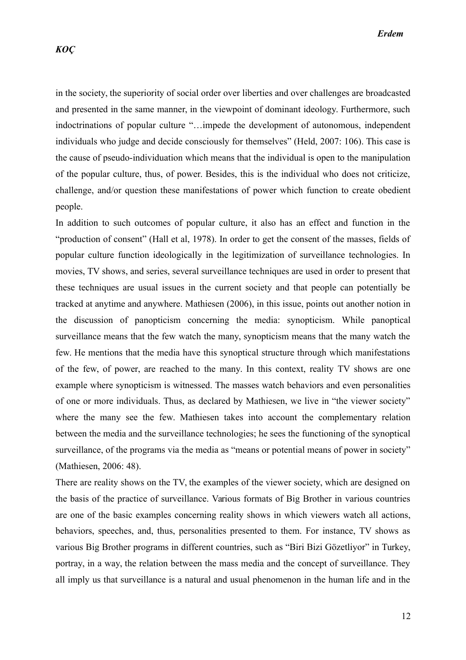in the society, the superiority of social order over liberties and over challenges are broadcasted and presented in the same manner, in the viewpoint of dominant ideology. Furthermore, such indoctrinations of popular culture "…impede the development of autonomous, independent individuals who judge and decide consciously for themselves" (Held, 2007: 106). This case is the cause of pseudo-individuation which means that the individual is open to the manipulation of the popular culture, thus, of power. Besides, this is the individual who does not criticize, challenge, and/or question these manifestations of power which function to create obedient people.

In addition to such outcomes of popular culture, it also has an effect and function in the "production of consent" (Hall et al, 1978). In order to get the consent of the masses, fields of popular culture function ideologically in the legitimization of surveillance technologies. In movies, TV shows, and series, several surveillance techniques are used in order to present that these techniques are usual issues in the current society and that people can potentially be tracked at anytime and anywhere. Mathiesen (2006), in this issue, points out another notion in the discussion of panopticism concerning the media: synopticism. While panoptical surveillance means that the few watch the many, synopticism means that the many watch the few. He mentions that the media have this synoptical structure through which manifestations of the few, of power, are reached to the many. In this context, reality TV shows are one example where synopticism is witnessed. The masses watch behaviors and even personalities of one or more individuals. Thus, as declared by Mathiesen, we live in "the viewer society" where the many see the few. Mathiesen takes into account the complementary relation between the media and the surveillance technologies; he sees the functioning of the synoptical surveillance, of the programs via the media as "means or potential means of power in society" (Mathiesen, 2006: 48).

There are reality shows on the TV, the examples of the viewer society, which are designed on the basis of the practice of surveillance. Various formats of Big Brother in various countries are one of the basic examples concerning reality shows in which viewers watch all actions, behaviors, speeches, and, thus, personalities presented to them. For instance, TV shows as various Big Brother programs in different countries, such as "Biri Bizi Gözetliyor" in Turkey, portray, in a way, the relation between the mass media and the concept of surveillance. They all imply us that surveillance is a natural and usual phenomenon in the human life and in the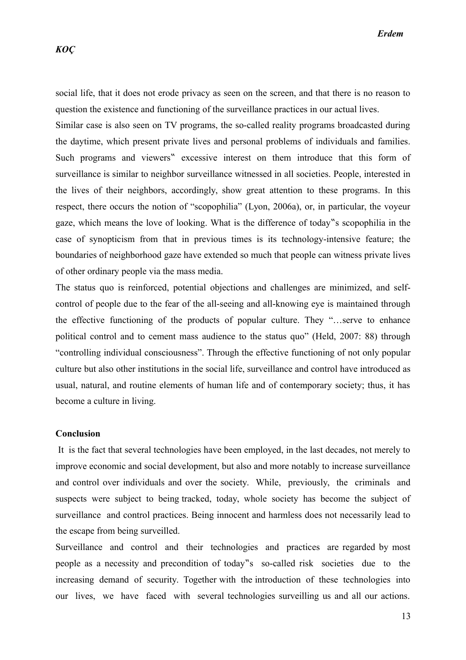social life, that it does not erode privacy as seen on the screen, and that there is no reason to question the existence and functioning of the surveillance practices in our actual lives.

Similar case is also seen on TV programs, the so-called reality programs broadcasted during the daytime, which present private lives and personal problems of individuals and families. Such programs and viewers" excessive interest on them introduce that this form of surveillance is similar to neighbor surveillance witnessed in all societies. People, interested in the lives of their neighbors, accordingly, show great attention to these programs. In this respect, there occurs the notion of "scopophilia" (Lyon, 2006a), or, in particular, the voyeur gaze, which means the love of looking. What is the difference of today s scopophilia in the case of synopticism from that in previous times is its technology-intensive feature; the boundaries of neighborhood gaze have extended so much that people can witness private lives of other ordinary people via the mass media.

The status quo is reinforced, potential objections and challenges are minimized, and selfcontrol of people due to the fear of the all-seeing and all-knowing eye is maintained through the effective functioning of the products of popular culture. They "…serve to enhance political control and to cement mass audience to the status quo" (Held, 2007: 88) through "controlling individual consciousness". Through the effective functioning of not only popular culture but also other institutions in the social life, surveillance and control have introduced as usual, natural, and routine elements of human life and of contemporary society; thus, it has become a culture in living.

#### **Conclusion**

 It is the fact that several technologies have been employed, in the last decades, not merely to improve economic and social development, but also and more notably to increase surveillance and control over individuals and over the society. While, previously, the criminals and suspects were subject to being tracked, today, whole society has become the subject of surveillance and control practices. Being innocent and harmless does not necessarily lead to the escape from being surveilled.

Surveillance and control and their technologies and practices are regarded by most people as a necessity and precondition of today"s so-called risk societies due to the increasing demand of security. Together with the introduction of these technologies into our lives, we have faced with several technologies surveilling us and all our actions.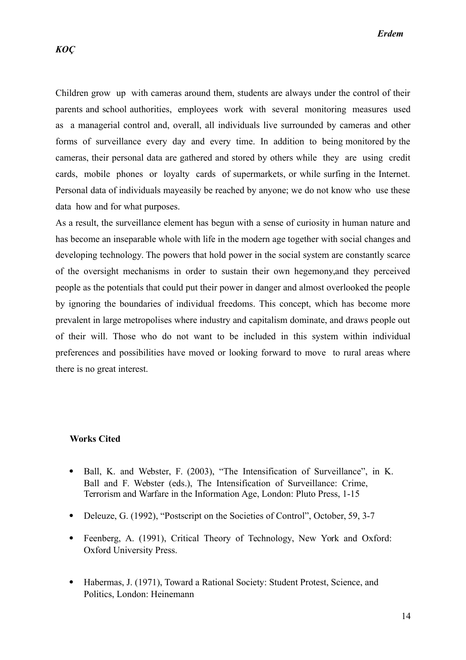Children grow up with cameras around them, students are always under the control of their parents and school authorities, employees work with several monitoring measures used as a managerial control and, overall, all individuals live surrounded by cameras and other forms of surveillance every day and every time. In addition to being monitored by the cameras, their personal data are gathered and stored by others while they are using credit cards, mobile phones or loyalty cards of supermarkets, or while surfing in the Internet. Personal data of individuals mayeasily be reached by anyone; we do not know who use these data how and for what purposes.

As a result, the surveillance element has begun with a sense of curiosity in human nature and has become an inseparable whole with life in the modern age together with social changes and developing technology. The powers that hold power in the social system are constantly scarce of the oversight mechanisms in order to sustain their own hegemony,and they perceived people as the potentials that could put their power in danger and almost overlooked the people by ignoring the boundaries of individual freedoms. This concept, which has become more prevalent in large metropolises where industry and capitalism dominate, and draws people out of their will. Those who do not want to be included in this system within individual preferences and possibilities have moved or looking forward to move to rural areas where there is no great interest.

#### **Works Cited**

- Ball, K. and Webster, F. (2003), "The Intensification of Surveillance", in K. Ball and F. Webster (eds.), The Intensification of Surveillance: Crime, Terrorism and Warfare in the Information Age, London: Pluto Press, 1-15
- Deleuze, G. (1992), "Postscript on the Societies of Control", October, 59, 3-7
- Feenberg, A. (1991), Critical Theory of Technology, New York and Oxford: Oxford University Press.
- Habermas, J. (1971), Toward a Rational Society: Student Protest, Science, and Politics, London: Heinemann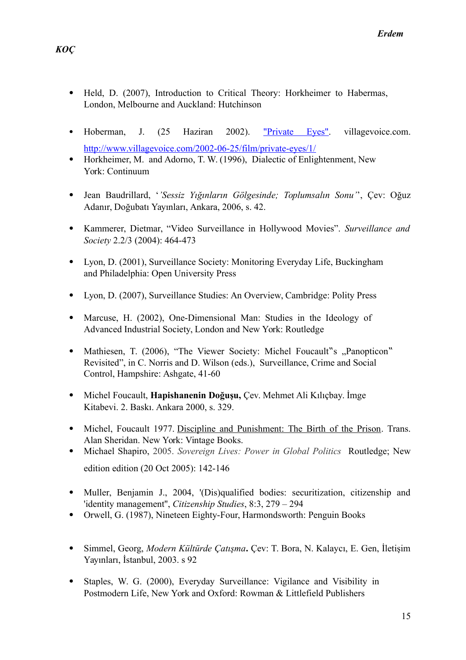- Held, D. (2007), Introduction to Critical Theory: Horkheimer to Habermas, London, Melbourne and Auckland: Hutchinson
- Hoberman, J. (25 Haziran 2002). "Private Eyes", villagevoice.com. <http://www.villagevoice.com/2002-06-25/film/private-eyes/1/>
- Horkheimer, M. and Adorno, T. W. (1996), Dialectic of Enlightenment, New York: Continuum
- Jean Baudrillard, '*'Sessiz Yığınların Gölgesinde; Toplumsalın Sonu'*', Çev: Oğuz Adanır, Doğubatı Yayınları, Ankara, 2006, s. 42.
- Kammerer, Dietmar, "Video Surveillance in Hollywood Movies". *Surveillance and Society* 2.2/3 (2004): 464-473
- Lyon, D. (2001), Surveillance Society: Monitoring Everyday Life, Buckingham and Philadelphia: Open University Press
- Lyon, D. (2007), Surveillance Studies: An Overview, Cambridge: Polity Press
- Marcuse, H. (2002), One-Dimensional Man: Studies in the Ideology of Advanced Industrial Society, London and New York: Routledge
- Mathiesen, T. (2006), "The Viewer Society: Michel Foucault"s "Panopticon" Revisited", in C. Norris and D. Wilson (eds.), Surveillance, Crime and Social Control, Hampshire: Ashgate, 41-60
- Michel Foucault, **Hapishanenin Doğuşu,** Çev. Mehmet Ali Kılıçbay. İmge Kitabevi. 2. Baskı. Ankara 2000, s. 329.
- Michel, Foucault 1977. Discipline and Punishment: The Birth of the Prison. Trans. Alan Sheridan. New York: Vintage Books.
- Michael Shapiro, 2005. *Sovereign Lives: Power in Global Politics* Routledge; New edition edition (20 Oct 2005): 142-146
- Muller, Benjamin J., 2004, '(Dis)qualified bodies: securitization, citizenship and 'identity management'', *Citizenship Studies*, 8:3, 279 – 294
- Orwell, G. (1987), Nineteen Eighty-Four, Harmondsworth: Penguin Books
- Simmel, Georg, *Modern Kültürde Çatışma***.** Çev: T. Bora, N. Kalaycı, E. Gen, İletişim Yayınları, İstanbul, 2003. s 92
- Staples, W. G. (2000), Everyday Surveillance: Vigilance and Visibility in Postmodern Life, New York and Oxford: Rowman & Littlefield Publishers